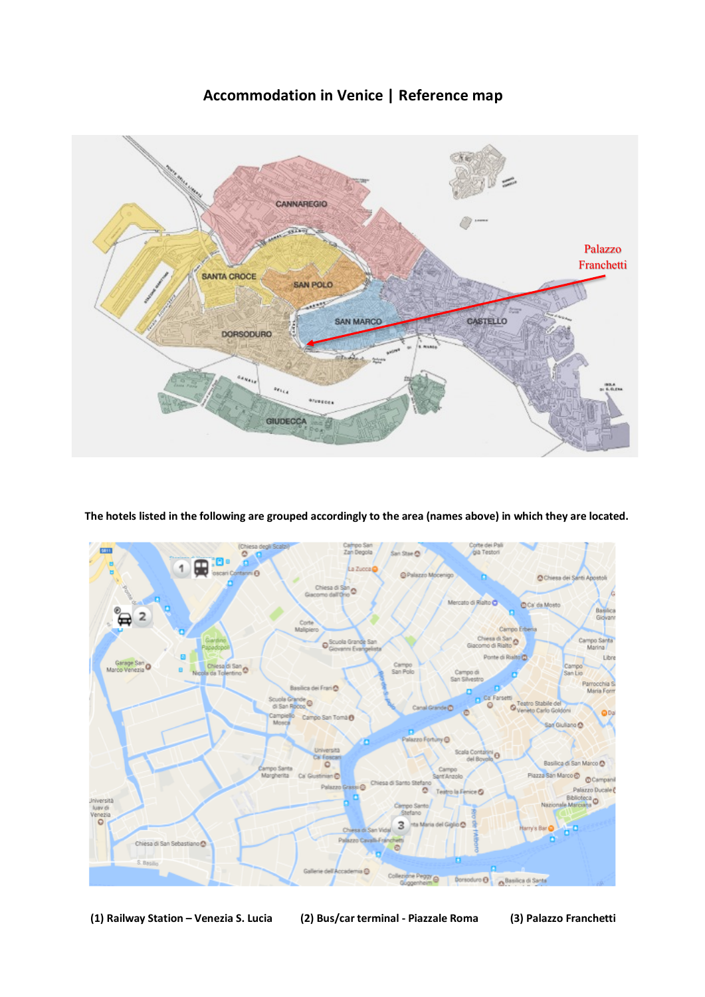# **Accommodation in Venice | Reference map**



**The hotels listed in the following are grouped accordingly to the area (names above) in which they are located.**



**(1) Railway Station – Venezia S. Lucia (2) Bus/car terminal - Piazzale Roma (3) Palazzo Franchetti**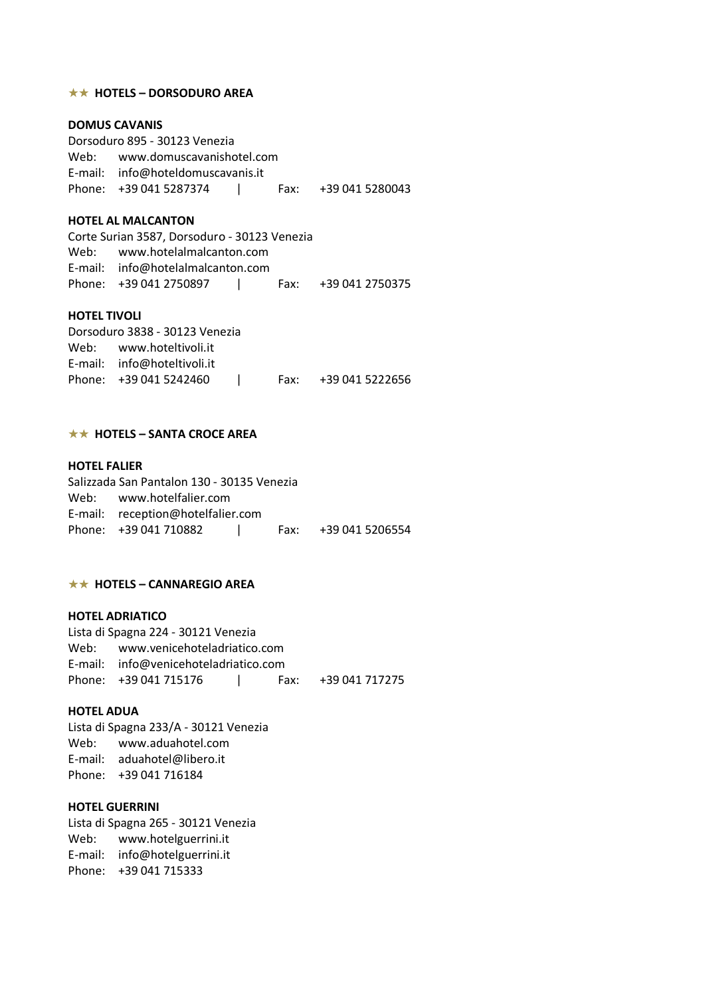### **★★ HOTELS – DORSODURO AREA**

## **DOMUS CAVANIS**

Dorsoduro 895 - 30123 Venezia Web: www.domuscavanishotel.com E-mail: info@hoteldomuscavanis.it Phone: +39 041 5287374 | Fax: +39 041 5280043

### **HOTEL AL MALCANTON**

Corte Surian 3587, Dorsoduro - 30123 Venezia Web: www.hotelalmalcanton.com E-mail: info@hotelalmalcanton.com Phone: +39 041 2750897 | Fax: +39 041 2750375

### **HOTEL TIVOLI**

| Dorsoduro 3838 - 30123 Venezia |               |                      |
|--------------------------------|---------------|----------------------|
| Web: www.hoteltivoli.it        |               |                      |
| E-mail: info@hoteltivoli.it    |               |                      |
| Phone: +39 041 5242460         | and the state | Fax: +39 041 5222656 |

## **★★ HOTELS – SANTA CROCE AREA**

## **HOTEL FALIER**

| Salizzada San Pantalon 130 - 30135 Venezia |  |                      |
|--------------------------------------------|--|----------------------|
| Web: www.hotelfalier.com                   |  |                      |
| E-mail: reception@hotelfalier.com          |  |                      |
|                                            |  | Fax: +39 041 5206554 |

#### **★★ HOTELS – CANNAREGIO AREA**

## **HOTEL ADRIATICO**

Lista di Spagna 224 - 30121 Venezia Web: www.venicehoteladriatico.com E-mail: info@venicehoteladriatico.com Phone: +39 041 715176 | Fax: +39 041 717275

### **HOTEL ADUA**

Lista di Spagna 233/A - 30121 Venezia Web: www.aduahotel.com E-mail: aduahotel@libero.it Phone: +39 041 716184

### **HOTEL GUERRINI**

Lista di Spagna 265 - 30121 Venezia Web: www.hotelguerrini.it E-mail: info@hotelguerrini.it Phone: +39 041 715333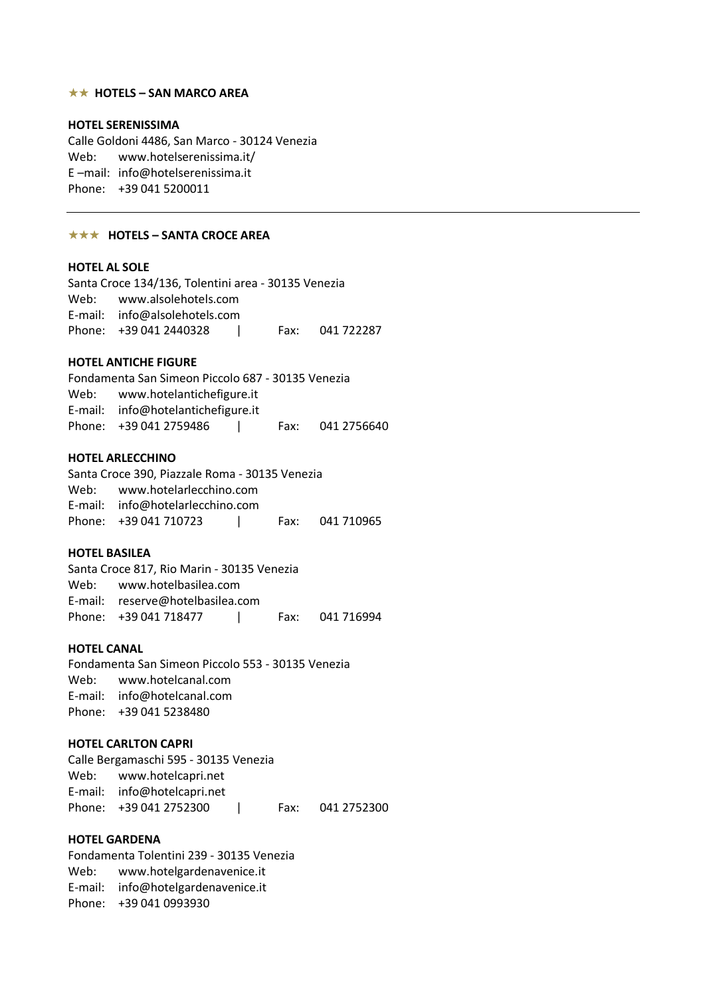### **★★ HOTELS – SAN MARCO AREA**

### **HOTEL SERENISSIMA**

Calle Goldoni 4486, San Marco - 30124 Venezia Web: www.hotelserenissima.it/ E –mail: info@hotelserenissima.it Phone: +39 041 5200011

#### **★★★ HOTELS – SANTA CROCE AREA**

## **HOTEL AL SOLE**

| Santa Croce 134/136, Tolentini area - 30135 Venezia |                 |
|-----------------------------------------------------|-----------------|
| Web: www.alsolehotels.com                           |                 |
| E-mail: info@alsolehotels.com                       |                 |
| Phone: +39 041 2440328                              | Fax: 041 722287 |

#### **HOTEL ANTICHE FIGURE**

Fondamenta San Simeon Piccolo 687 - 30135 Venezia Web: www.hotelantichefigure.it E-mail: info@hotelantichefigure.it Phone: +39 041 2759486 | Fax: 041 2756640

#### **HOTEL ARLECCHINO**

| Santa Croce 390, Piazzale Roma - 30135 Venezia |  |  |
|------------------------------------------------|--|--|
| Web: www.hotelarlecchino.com                   |  |  |
| E-mail: info@hotelarlecchino.com               |  |  |
| Phone: +39 041 710723 1 Fax: 041 710965        |  |  |

### **HOTEL BASILEA**

Santa Croce 817, Rio Marin - 30135 Venezia Web: www.hotelbasilea.com E-mail: reserve@hotelbasilea.com Phone: +39 041 718477 | Fax: 041 716994

### **HOTEL CANAL**

Fondamenta San Simeon Piccolo 553 - 30135 Venezia Web: www.hotelcanal.com E-mail: info@hotelcanal.com Phone: +39 041 5238480

## **HOTEL CARLTON CAPRI**

Calle Bergamaschi 595 - 30135 Venezia Web: www.hotelcapri.net E-mail: info@hotelcapri.net Phone: +39 041 275 2300 | Fax: 041 275 2300

## **HOTEL GARDENA**

Fondamenta Tolentini 239 - 30135 Venezia Web: www.hotelgardenavenice.it E-mail: info@hotelgardenavenice.it Phone: +39 041 0993930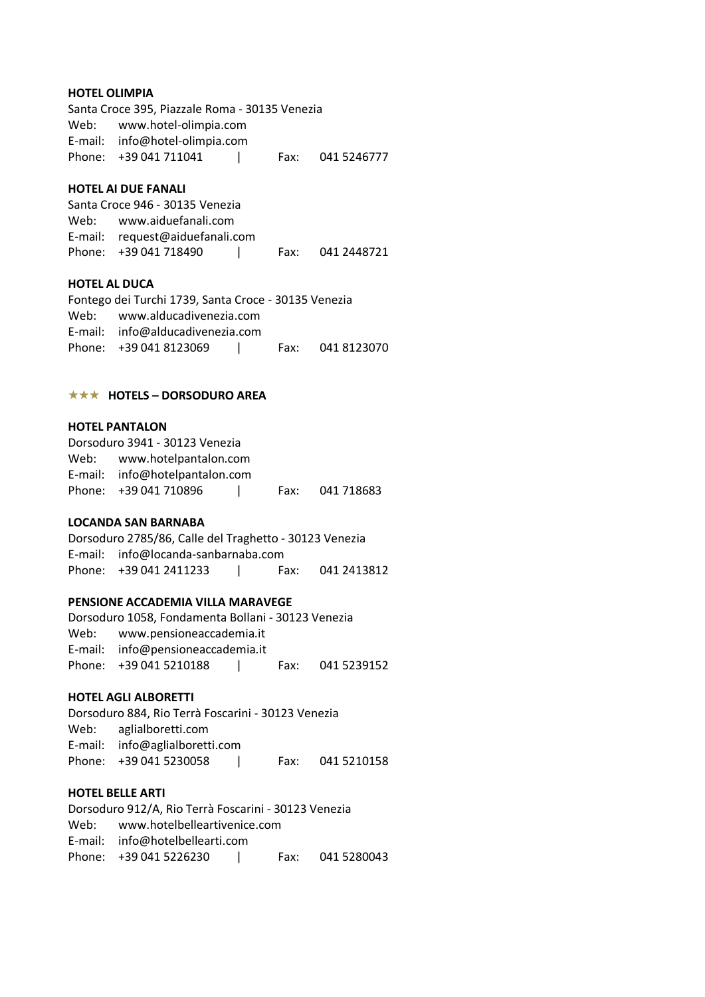### **HOTEL OLIMPIA**

Santa Croce 395, Piazzale Roma - 30135 Venezia Web: www.hotel-olimpia.com E-mail: info@hotel-olimpia.com Phone: +39 041 711041 | Fax: 041 5246777

## **HOTEL AI DUE FANALI**

Santa Croce 946 - 30135 Venezia Web: www.aiduefanali.com E-mail: request@aiduefanali.com Phone: +39 041 718490 | Fax: 041 2448721

## **HOTEL AL DUCA**

| Fontego dei Turchi 1739, Santa Croce - 30135 Venezia |  |  |
|------------------------------------------------------|--|--|
| Web: www.alducadivenezia.com                         |  |  |
| E-mail: $info@alducadivenezia.com$                   |  |  |
|                                                      |  |  |

### **★★★ HOTELS – DORSODURO AREA**

### **HOTEL PANTALON**

| Dorsoduro 3941 - 30123 Venezia |  |                 |
|--------------------------------|--|-----------------|
| Web: www.hotelpantalon.com     |  |                 |
| E-mail: info@hotelpantalon.com |  |                 |
| Phone: +39 041 710896          |  | Fax: 041 718683 |

### **LOCANDA SAN BARNABA**

Dorsoduro 2785/86, Calle del Traghetto - 30123 Venezia E-mail: info@locanda-sanbarnaba.com Phone: +39 041 2411233 | Fax: 041 2413812

## **PENSIONE ACCADEMIA VILLA MARAVEGE**

Dorsoduro 1058, Fondamenta Bollani - 30123 Venezia Web: www.pensioneaccademia.it E-mail: info@pensioneaccademia.it Phone: +39 041 5210188 | Fax: 041 5239152

## **HOTEL AGLI ALBORETTI**

Dorsoduro 884, Rio Terrà Foscarini - 30123 Venezia Web: aglialboretti.com E-mail: info@aglialboretti.com Phone: +39 041 5230058 | Fax: 041 5210158

### **HOTEL BELLE ARTI**

Dorsoduro 912/A, Rio Terrà Foscarini - 30123 Venezia Web: www.hotelbelleartivenice.com E-mail: info@hotelbellearti.com Phone: +39 041 5226230 | Fax: 041 5280043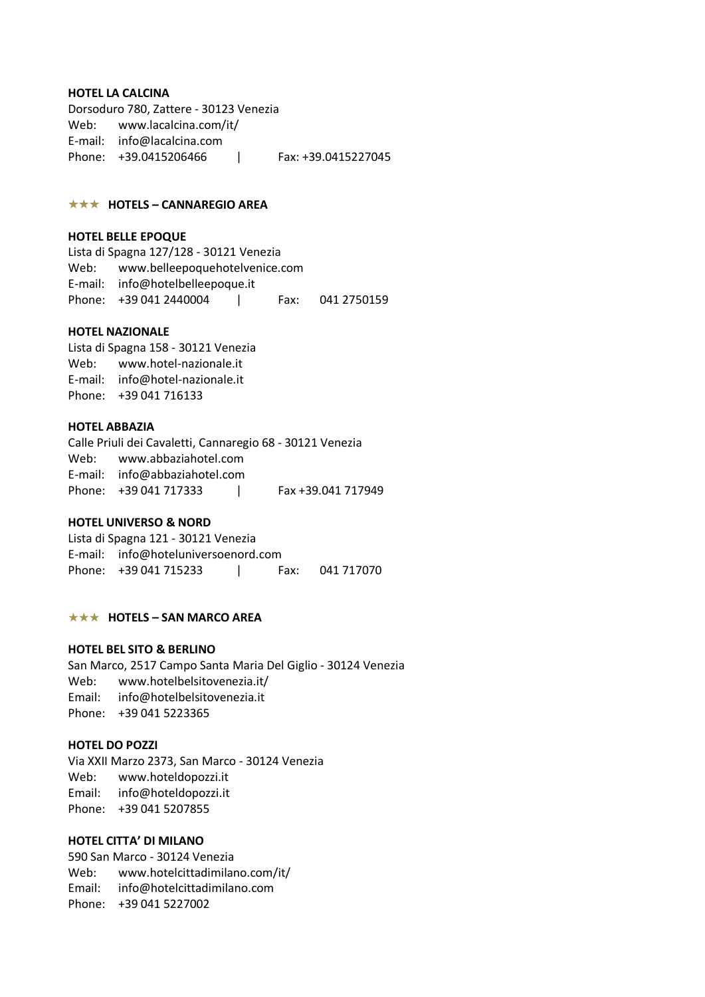### **HOTEL LA CALCINA**

Dorsoduro 780, Zattere - 30123 Venezia Web: www.lacalcina.com/it/ E-mail: info@lacalcina.com Phone: +39.0415206466 | Fax: +39.0415227045

## **★★★ HOTELS – CANNAREGIO AREA**

### **HOTEL BELLE EPOQUE**

Lista di Spagna 127/128 - 30121 Venezia Web: www.belleepoquehotelvenice.com E-mail: info@hotelbelleepoque.it Phone: +39 041 2440004 | Fax: 041 2750159

## **HOTEL NAZIONALE**

Lista di Spagna 158 - 30121 Venezia Web: www.hotel-nazionale.it E-mail: info@hotel-nazionale.it Phone: +39 041 716133

#### **HOTEL ABBAZIA**

Calle Priuli dei Cavaletti, Cannaregio 68 - 30121 Venezia Web: www.abbaziahotel.com E-mail: info@abbaziahotel.com Phone: +39 041 717333 | Fax +39.041 717949

### **HOTEL UNIVERSO & NORD**

Lista di Spagna 121 - 30121 Venezia E-mail: info@hoteluniversoenord.com Phone: +39 041 715233 | Fax: 041 717070

## **★★★ HOTELS – SAN MARCO AREA**

## **HOTEL BEL SITO & BERLINO**

San Marco, 2517 Campo Santa Maria Del Giglio - 30124 Venezia Web: www.hotelbelsitovenezia.it/ Email: info@hotelbelsitovenezia.it Phone: +39 041 5223365

## **HOTEL DO POZZI**

Via XXII Marzo 2373, San Marco - 30124 Venezia Web: www.hoteldopozzi.it Email: info@hoteldopozzi.it Phone: +39 041 5207855

### **HOTEL CITTA' DI MILANO**

590 San Marco - 30124 Venezia Web: www.hotelcittadimilano.com/it/ Email: info@hotelcittadimilano.com Phone: +39 041 5227002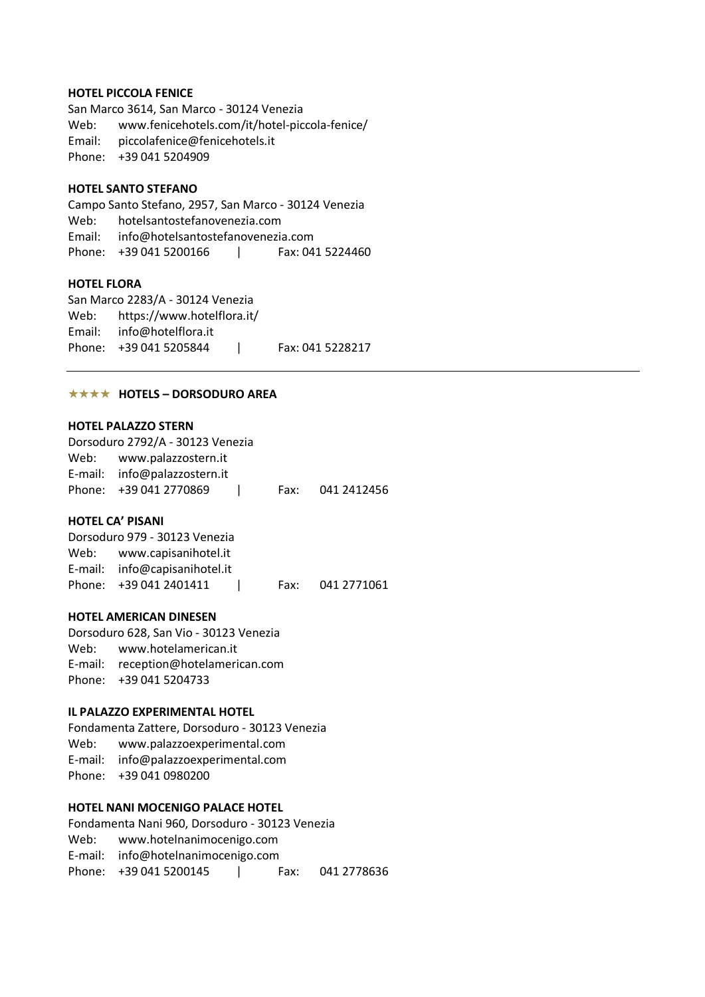### **HOTEL PICCOLA FENICE**

San Marco 3614, San Marco - 30124 Venezia Web: www.fenicehotels.com/it/hotel-piccola-fenice/ Email: piccolafenice@fenicehotels.it Phone: +39 041 5204909

## **HOTEL SANTO STEFANO**

Campo Santo Stefano, 2957, San Marco - 30124 Venezia Web: hotelsantostefanovenezia.com Email: info@hotelsantostefanovenezia.com Phone: +39 041 5200166 | Fax: 041 5224460

## **HOTEL FLORA**

San Marco 2283/A - 30124 Venezia Web: https://www.hotelflora.it/ Email: info@hotelflora.it Phone: +39 041 5205844 | Fax: 041 5228217

## **★★★★ HOTELS – DORSODURO AREA**

### **HOTEL PALAZZO STERN**

| Dorsoduro 2792/A - 30123 Venezia |      |             |
|----------------------------------|------|-------------|
| Web: www.palazzostern.it         |      |             |
| E-mail: info@palazzostern.it     |      |             |
| Phone: +39 041 2770869           | Fax: | 041 2412456 |

### **HOTEL CA' PISANI**

| Dorsoduro 979 - 30123 Venezia |  |                  |
|-------------------------------|--|------------------|
| Web: www.capisanihotel.it     |  |                  |
| E-mail: info@capisanihotel.it |  |                  |
| Phone: +39 041 2401411        |  | Fax: 041 2771061 |

## **HOTEL AMERICAN DINESEN**

Dorsoduro 628, San Vio - 30123 Venezia Web: www.hotelamerican.it E-mail: reception@hotelamerican.com Phone: +39 041 5204733

## **IL PALAZZO EXPERIMENTAL HOTEL**

Fondamenta Zattere, Dorsoduro - 30123 Venezia Web: www.palazzoexperimental.com E-mail: info@palazzoexperimental.com Phone: +39 041 0980200

## **HOTEL NANI MOCENIGO PALACE HOTEL**

Fondamenta Nani 960, Dorsoduro - 30123 Venezia Web: www.hotelnanimocenigo.com E-mail: info@hotelnanimocenigo.com Phone: +39 041 5200145 | Fax: 041 2778636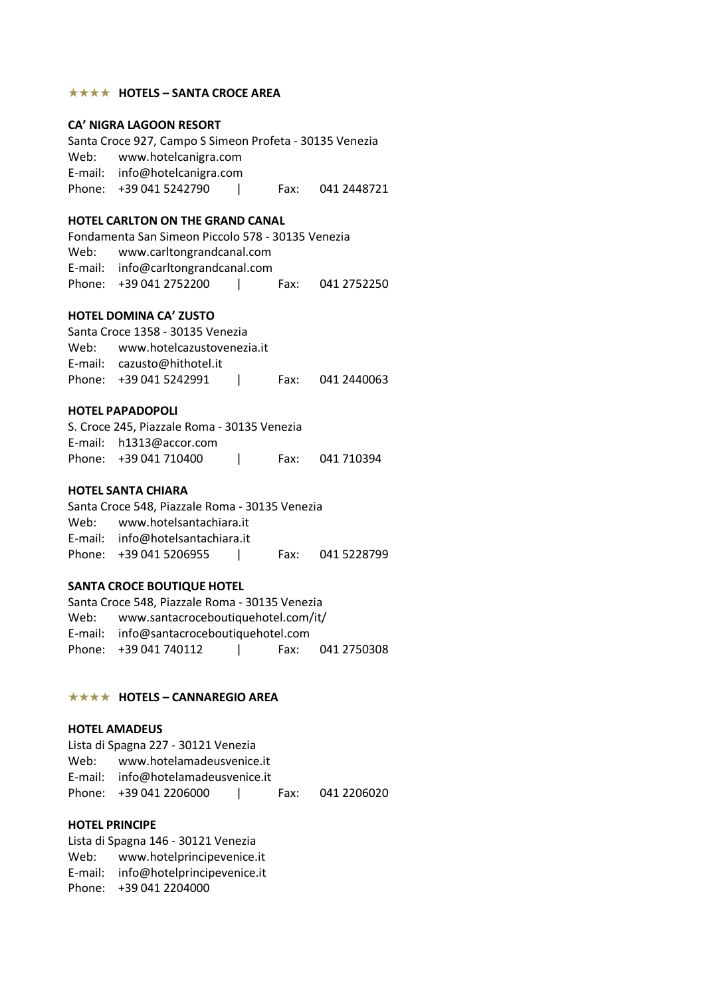### **★★★★ HOTELS – SANTA CROCE AREA**

### **CA' NIGRA LAGOON RESORT**

Santa Croce 927, Campo S Simeon Profeta - 30135 Venezia Web: www.hotelcanigra.com E-mail: info@hotelcanigra.com Phone: +39 041 5242790 | Fax: 041 2448721

## **HOTEL CARLTON ON THE GRAND CANAL**

Fondamenta San Simeon Piccolo 578 - 30135 Venezia Web: www.carltongrandcanal.com E-mail: info@carltongrandcanal.com Phone: +39 041 2752200 | Fax: 041 2752250

### **HOTEL DOMINA CA' ZUSTO**

Santa Croce 1358 - 30135 Venezia Web: www.hotelcazustovenezia.it E-mail: cazusto@hithotel.it Phone: +39 041 5242991 | Fax: 041 2440063

### **HOTEL PAPADOPOLI**

S. Croce 245, Piazzale Roma - 30135 Venezia E-mail: h1313@accor.com Phone: +39 041 710400 | Fax: 041 710394

#### **HOTEL SANTA CHIARA**

Santa Croce 548, Piazzale Roma - 30135 Venezia Web: www.hotelsantachiara.it E-mail: info@hotelsantachiara.it Phone: +39 041 5206955 | Fax: 041 5228799

#### **SANTA CROCE BOUTIQUE HOTEL**

Santa Croce 548, Piazzale Roma - 30135 Venezia Web: www.santacroceboutiquehotel.com/it/ E-mail: info@santacroceboutiquehotel.com Phone: +39 041 740112 | Fax: 041 2750308

## $\star \star \star \star$  **HOTELS – CANNAREGIO AREA**

### **HOTEL AMADEUS**

Lista di Spagna 227 - 30121 Venezia Web: www.hotelamadeusvenice.it E-mail: info@hotelamadeusvenice.it Phone: +39 041 2206000 | Fax: 041 2206020

## **HOTEL PRINCIPE**

Lista di Spagna 146 - 30121 Venezia Web: www.hotelprincipevenice.it E-mail: info@hotelprincipevenice.it Phone: +39 041 2204000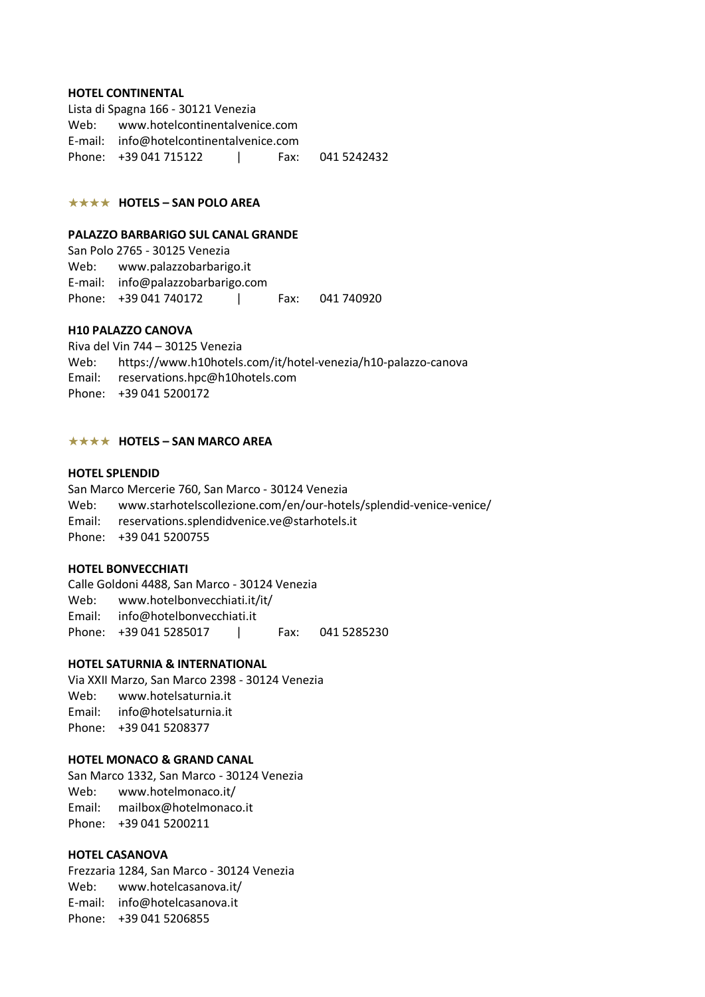#### **HOTEL CONTINENTAL**

Lista di Spagna 166 - 30121 Venezia Web: www.hotelcontinentalvenice.com E-mail: info@hotelcontinentalvenice.com Phone: +39 041 715122 | Fax: 041 5242432

## $\star \star \star \star$  **HOTELS – SAN POLO AREA**

#### **PALAZZO BARBARIGO SUL CANAL GRANDE**

San Polo 2765 - 30125 Venezia Web: www.palazzobarbarigo.it E-mail: info@palazzobarbarigo.com Phone: +39 041 740172 | Fax: 041 740920

## **H10 PALAZZO CANOVA**

Riva del Vin 744 – 30125 Venezia Web: https://www.h10hotels.com/it/hotel-venezia/h10-palazzo-canova Email: reservations.hpc@h10hotels.com Phone: +39 041 5200172

### **★★★★ HOTELS – SAN MARCO AREA**

### **HOTEL SPLENDID**

San Marco Mercerie 760, San Marco - 30124 Venezia Web: www.starhotelscollezione.com/en/our-hotels/splendid-venice-venice/ Email: reservations.splendidvenice.ve@starhotels.it Phone: +39 041 5200755

### **HOTEL BONVECCHIATI**

Calle Goldoni 4488, San Marco - 30124 Venezia Web: www.hotelbonvecchiati.it/it/ Email: info@hotelbonvecchiati.it Phone: +39 041 5285017 | Fax: 041 5285230

### **HOTEL SATURNIA & INTERNATIONAL**

Via XXII Marzo, San Marco 2398 - 30124 Venezia Web: www.hotelsaturnia.it Email: info@hotelsaturnia.it Phone: +39 041 5208377

## **HOTEL MONACO & GRAND CANAL**

San Marco 1332, San Marco - 30124 Venezia Web: www.hotelmonaco.it/ Email: mailbox@hotelmonaco.it Phone: +39 041 5200211

## **HOTEL CASANOVA**

Frezzaria 1284, San Marco - 30124 Venezia Web: www.hotelcasanova.it/ E-mail: info@hotelcasanova.it Phone: +39 041 5206855